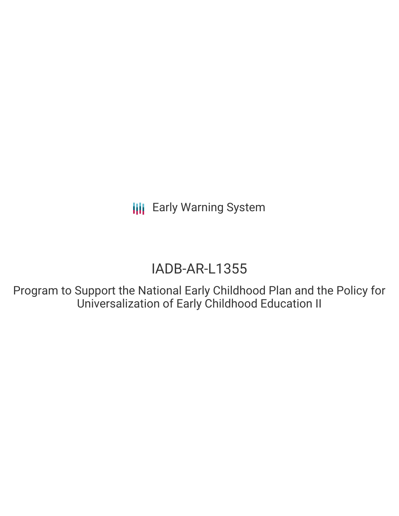**III** Early Warning System

# IADB-AR-L1355

Program to Support the National Early Childhood Plan and the Policy for Universalization of Early Childhood Education II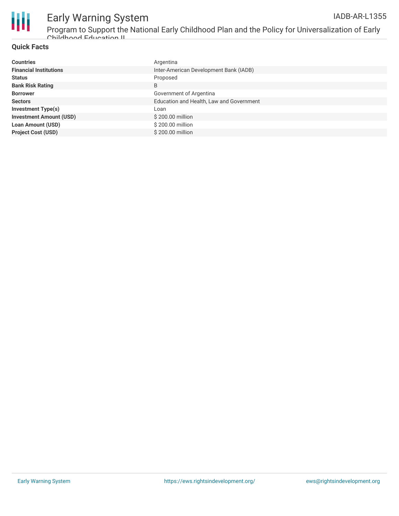

### Early Warning System IADB-AR-L1355

Program to Support the National Early Childhood Plan and the Policy for Universalization of Early Childhood Education II

### **Quick Facts**

| <b>Countries</b>               | Argentina                                |
|--------------------------------|------------------------------------------|
| <b>Financial Institutions</b>  | Inter-American Development Bank (IADB)   |
| <b>Status</b>                  | Proposed                                 |
| <b>Bank Risk Rating</b>        | B                                        |
| <b>Borrower</b>                | Government of Argentina                  |
| <b>Sectors</b>                 | Education and Health, Law and Government |
| <b>Investment Type(s)</b>      | Loan                                     |
| <b>Investment Amount (USD)</b> | $$200.00$ million                        |
| <b>Loan Amount (USD)</b>       | $$200.00$ million                        |
| <b>Project Cost (USD)</b>      | $$200.00$ million                        |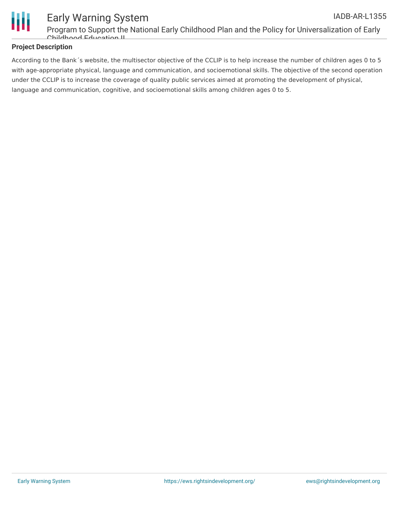

### Program to Support the National Early Childhood Plan and the Policy for Universalization of Early Childhood Education II

### **Project Description**

According to the Bank´s website, the multisector objective of the CCLIP is to help increase the number of children ages 0 to 5 with age-appropriate physical, language and communication, and socioemotional skills. The objective of the second operation under the CCLIP is to increase the coverage of quality public services aimed at promoting the development of physical, language and communication, cognitive, and socioemotional skills among children ages 0 to 5.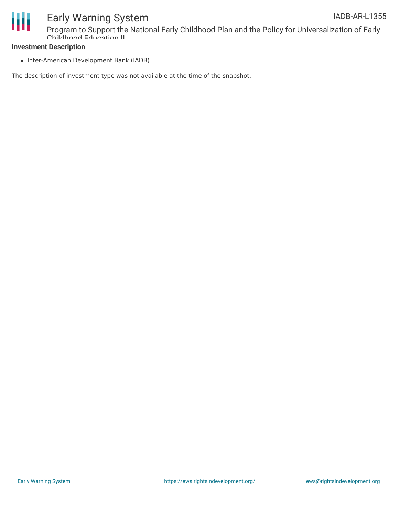

## Early Warning System

Program to Support the National Early Childhood Plan and the Policy for Universalization of Early Childhood Education II

### **Investment Description**

• Inter-American Development Bank (IADB)

The description of investment type was not available at the time of the snapshot.